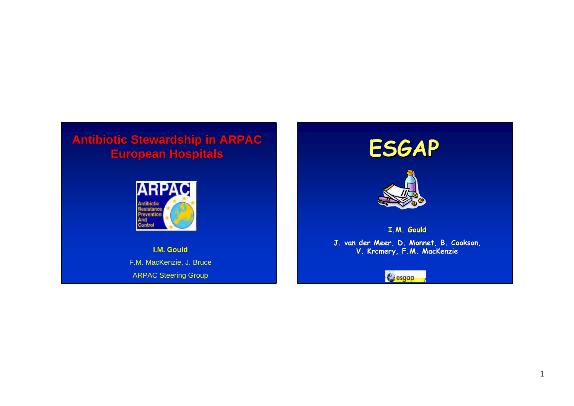# **Antibiotic Stewardship in ARPAC European Hospitals**



**I.M. Gould** F.M. MacKenzie, J. Bruce ARPAC Steering Group



& esgap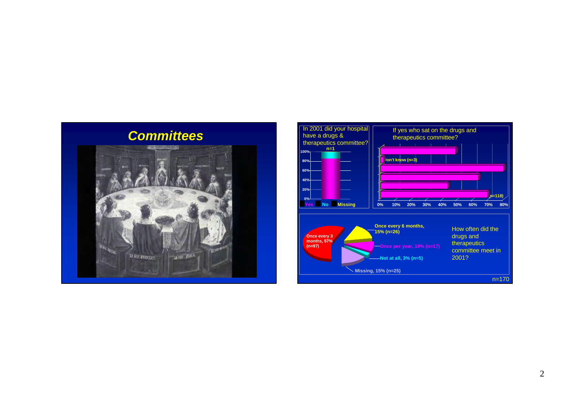

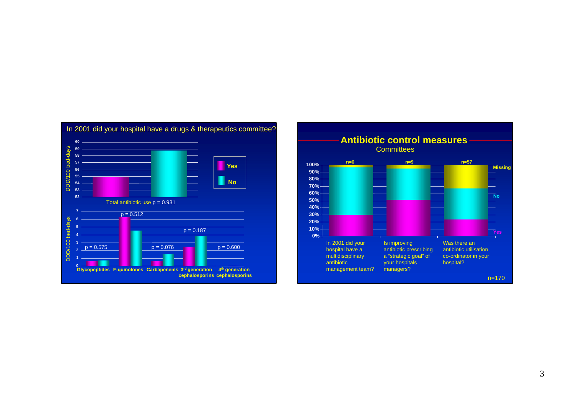

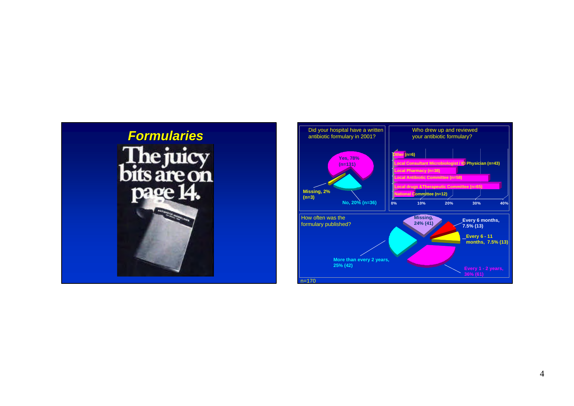

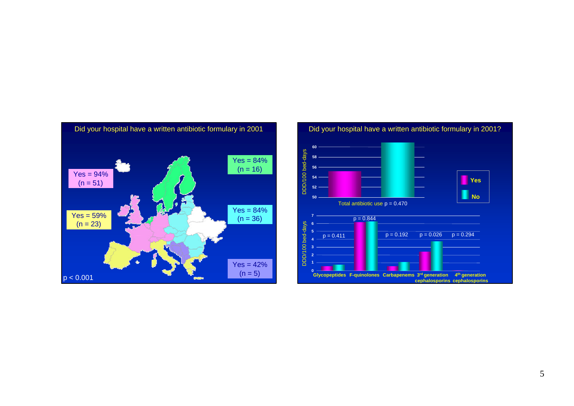

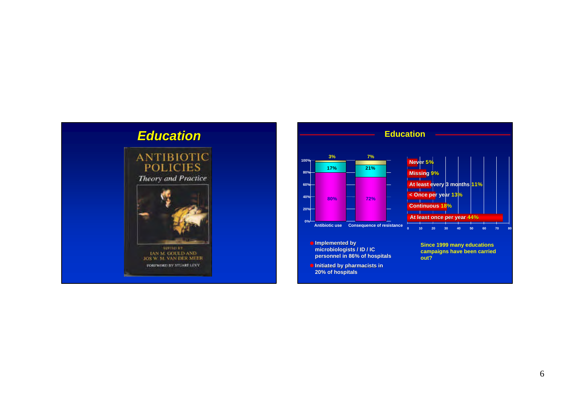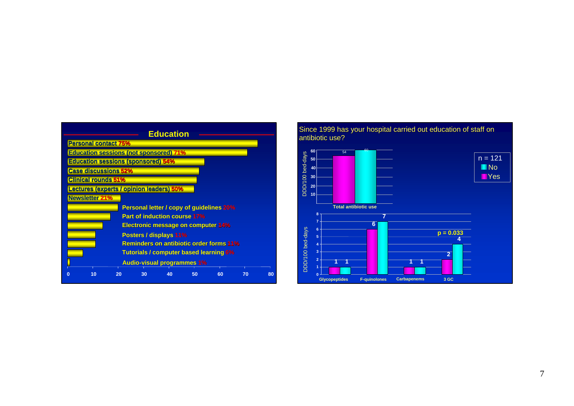



#### 7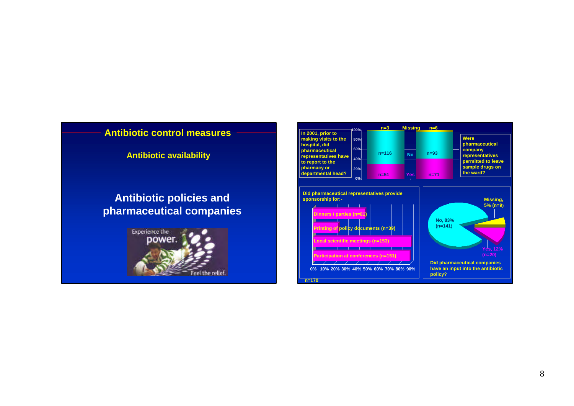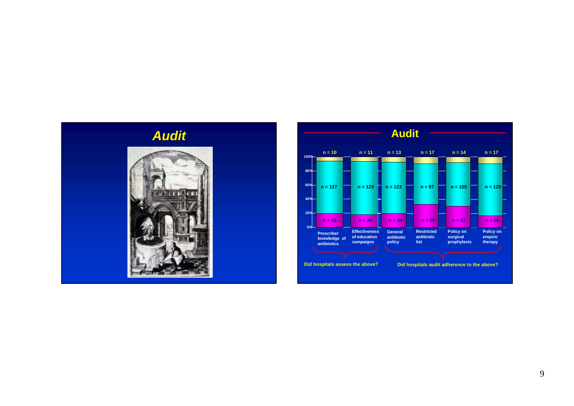

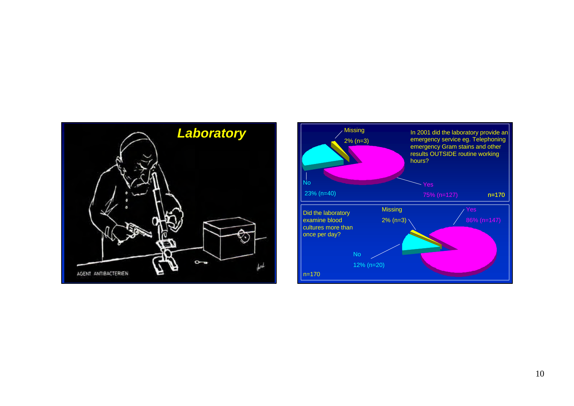

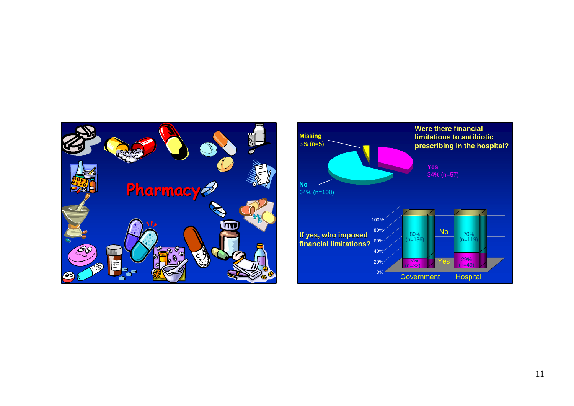

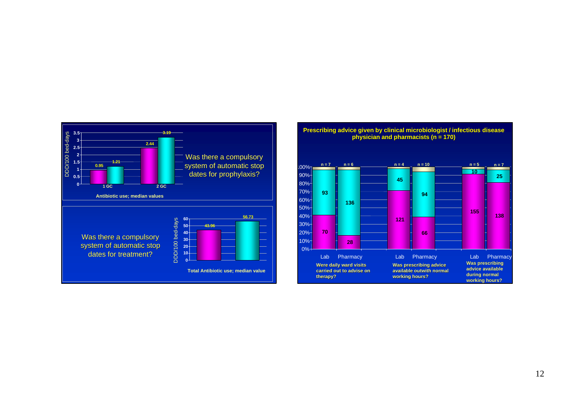

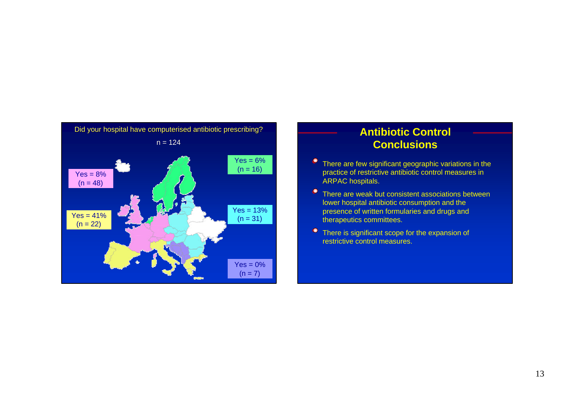

#### **Antibiotic Control Conclusions**

- **•** There are few significant geographic variations in the practice of restrictive antibiotic control measures in ARPAC hospitals.
- There are weak but consistent associations between lower hospital antibiotic consumption and the presence of written formularies and drugs and therapeutics committees.
- **•** There is significant scope for the expansion of restrictive control measures.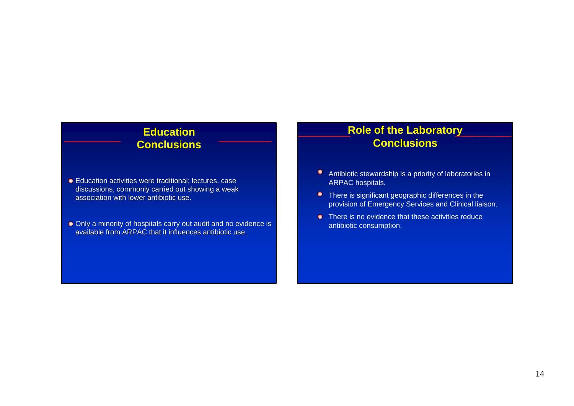### **Education Conclusions**

- Education activities were traditional; lectures, case discussions, commonly carried out showing a weak association with lower antibiotic use.
- Only a minority of hospitals carry out audit and no evidence is available from ARPAC that it influences antibiotic use.

#### **Role of the Laboratory Conclusions**

- Antibiotic stewardship is a priority of laboratories in ARPAC hospitals.
- There is significant geographic differences in the provision of Emergency Services and Clinical liaison.
- **•** There is no evidence that these activities reduce antibiotic consumption.